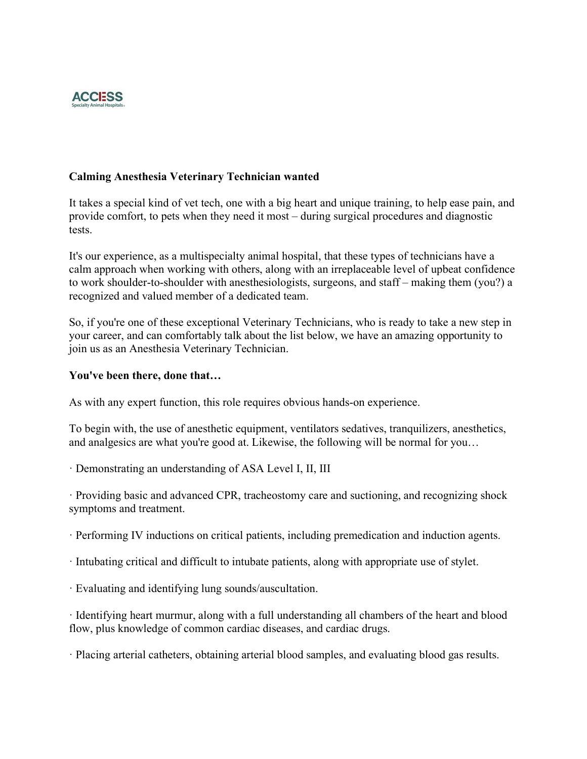

# **Calming Anesthesia Veterinary Technician wanted**

It takes a special kind of vet tech, one with a big heart and unique training, to help ease pain, and provide comfort, to pets when they need it most – during surgical procedures and diagnostic tests.

It's our experience, as a multispecialty animal hospital, that these types of technicians have a calm approach when working with others, along with an irreplaceable level of upbeat confidence to work shoulder-to-shoulder with anesthesiologists, surgeons, and staff – making them (you?) a recognized and valued member of a dedicated team.

So, if you're one of these exceptional Veterinary Technicians, who is ready to take a new step in your career, and can comfortably talk about the list below, we have an amazing opportunity to join us as an Anesthesia Veterinary Technician.

#### **You've been there, done that…**

As with any expert function, this role requires obvious hands-on experience.

To begin with, the use of anesthetic equipment, ventilators sedatives, tranquilizers, anesthetics, and analgesics are what you're good at. Likewise, the following will be normal for you…

· Demonstrating an understanding of ASA Level I, II, III

· Providing basic and advanced CPR, tracheostomy care and suctioning, and recognizing shock symptoms and treatment.

- · Performing IV inductions on critical patients, including premedication and induction agents.
- · Intubating critical and difficult to intubate patients, along with appropriate use of stylet.
- · Evaluating and identifying lung sounds/auscultation.

· Identifying heart murmur, along with a full understanding all chambers of the heart and blood flow, plus knowledge of common cardiac diseases, and cardiac drugs.

· Placing arterial catheters, obtaining arterial blood samples, and evaluating blood gas results.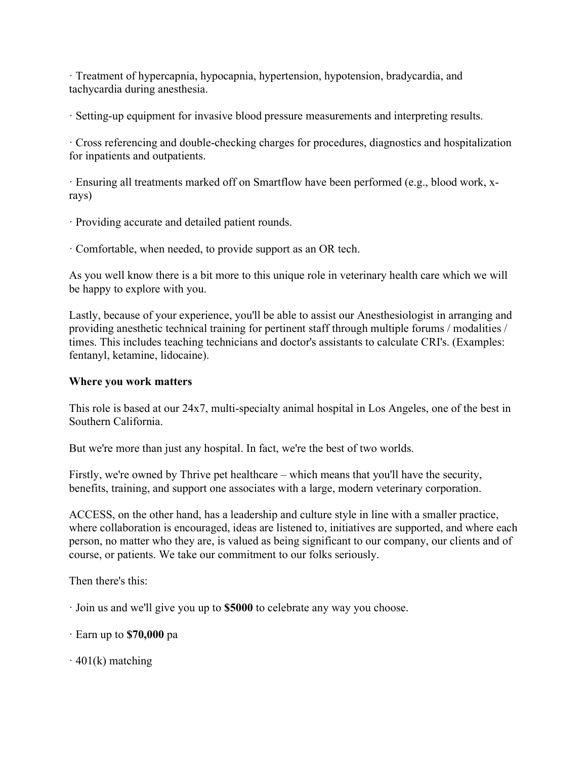· Treatment of hypercapnia, hypocapnia, hypertension, hypotension, bradycardia, and tachycardia during anesthesia.

· Setting-up equipment for invasive blood pressure measurements and interpreting results.

· Cross referencing and double-checking charges for procedures, diagnostics and hospitalization for inpatients and outpatients.

· Ensuring all treatments marked off on Smartflow have been performed (e.g., blood work, xrays)

· Providing accurate and detailed patient rounds.

· Comfortable, when needed, to provide support as an OR tech.

As you well know there is a bit more to this unique role in veterinary health care which we will be happy to explore with you.

Lastly, because of your experience, you'll be able to assist our Anesthesiologist in arranging and providing anesthetic technical training for pertinent staff through multiple forums / modalities / times. This includes teaching technicians and doctor's assistants to calculate CRI's. (Examples: fentanyl, ketamine, lidocaine).

## **Where you work matters**

This role is based at our 24x7, multi-specialty animal hospital in Los Angeles, one of the best in Southern California.

But we're more than just any hospital. In fact, we're the best of two worlds.

Firstly, we're owned by Thrive pet healthcare – which means that you'll have the security, benefits, training, and support one associates with a large, modern veterinary corporation.

ACCESS, on the other hand, has a leadership and culture style in line with a smaller practice, where collaboration is encouraged, ideas are listened to, initiatives are supported, and where each person, no matter who they are, is valued as being significant to our company, our clients and of course, or patients. We take our commitment to our folks seriously.

Then there's this:

- · Join us and we'll give you up to **\$5000** to celebrate any way you choose.
- · Earn up to **\$70,000** pa
- $\cdot$  401(k) matching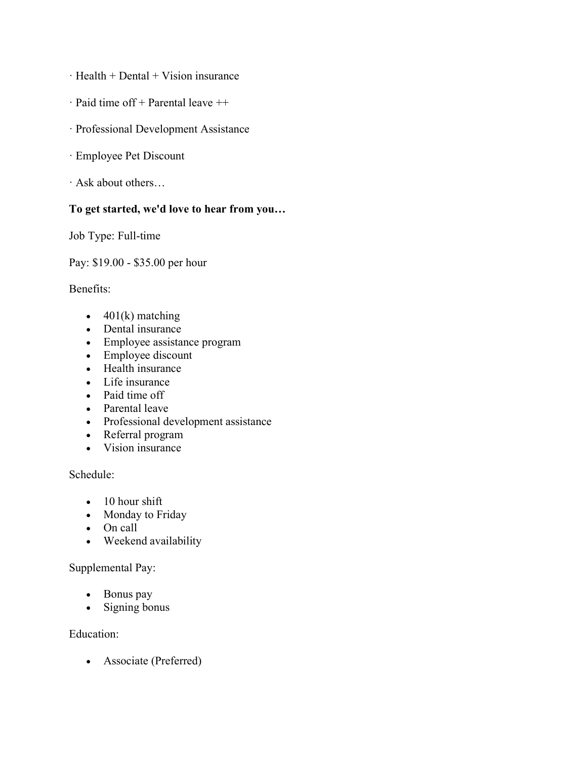- $\cdot$  Health + Dental + Vision insurance
- $\cdot$  Paid time off + Parental leave  $++$
- · Professional Development Assistance
- · Employee Pet Discount
- · Ask about others…

## **To get started, we'd love to hear from you…**

Job Type: Full-time

Pay: \$19.00 - \$35.00 per hour

#### Benefits:

- $\bullet$  401(k) matching
- Dental insurance
- Employee assistance program
- Employee discount
- Health insurance
- Life insurance
- Paid time off
- Parental leave
- Professional development assistance
- Referral program
- Vision insurance

# Schedule:

- 10 hour shift
- Monday to Friday
- On call
- Weekend availability

### Supplemental Pay:

- Bonus pay
- Signing bonus

## Education:

• Associate (Preferred)